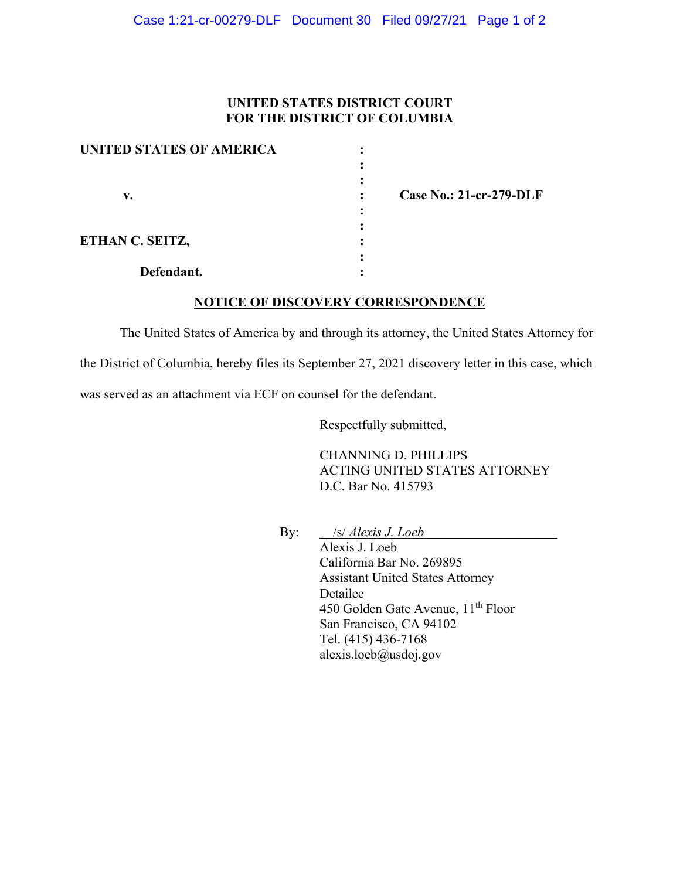## **UNITED STATES DISTRICT COURT FOR THE DISTRICT OF COLUMBIA**

| <b>UNITED STATES OF AMERICA</b> |  |
|---------------------------------|--|
|                                 |  |
|                                 |  |
| v.                              |  |
|                                 |  |
|                                 |  |
| ETHAN C. SEITZ,                 |  |
|                                 |  |
| Defendant.                      |  |

 **v. : Case No.: 21-cr-279-DLF**

## **NOTICE OF DISCOVERY CORRESPONDENCE**

The United States of America by and through its attorney, the United States Attorney for the District of Columbia, hereby files its September 27, 2021 discovery letter in this case, which was served as an attachment via ECF on counsel for the defendant.

Respectfully submitted,

CHANNING D. PHILLIPS ACTING UNITED STATES ATTORNEY D.C. Bar No. 415793

By: <u>\_\_/s/ *Alexis J. Loeb\_\_\_\_\_\_\_\_\_\_\_\_\_\_\_\_\_\_\_*</u>

Alexis J. Loeb California Bar No. 269895 Assistant United States Attorney Detailee 450 Golden Gate Avenue, 11<sup>th</sup> Floor San Francisco, CA 94102 Tel. (415) 436-7168 alexis.loeb@usdoj.gov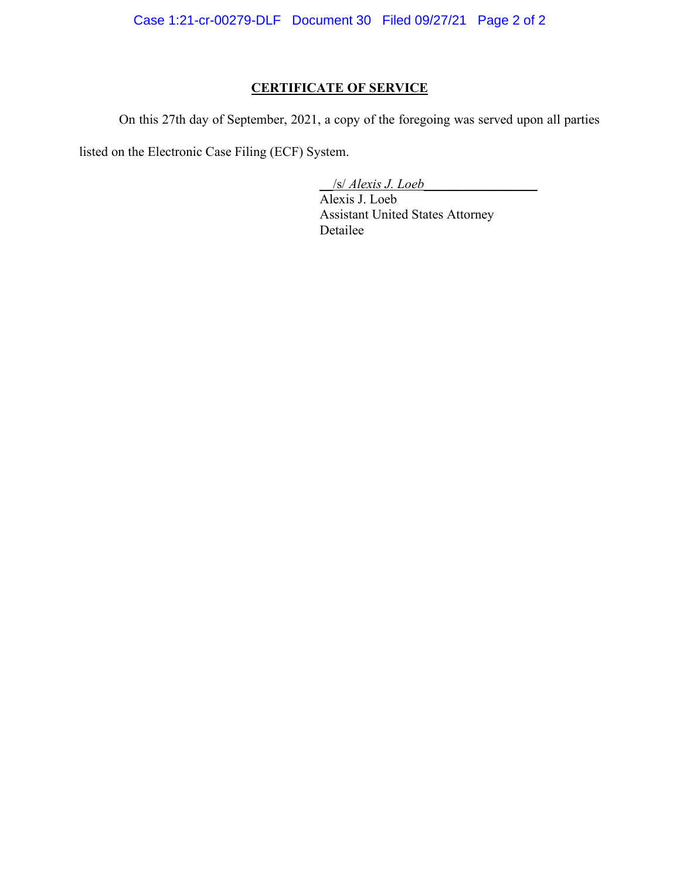Case 1:21-cr-00279-DLF Document 30 Filed 09/27/21 Page 2 of 2

# **CERTIFICATE OF SERVICE**

On this 27th day of September, 2021, a copy of the foregoing was served upon all parties

listed on the Electronic Case Filing (ECF) System.

\_\_/s/ *Alexis J. Loeb\_\_\_\_\_\_\_\_\_\_\_\_\_\_\_\_\_*

Alexis J. Loeb Assistant United States Attorney Detailee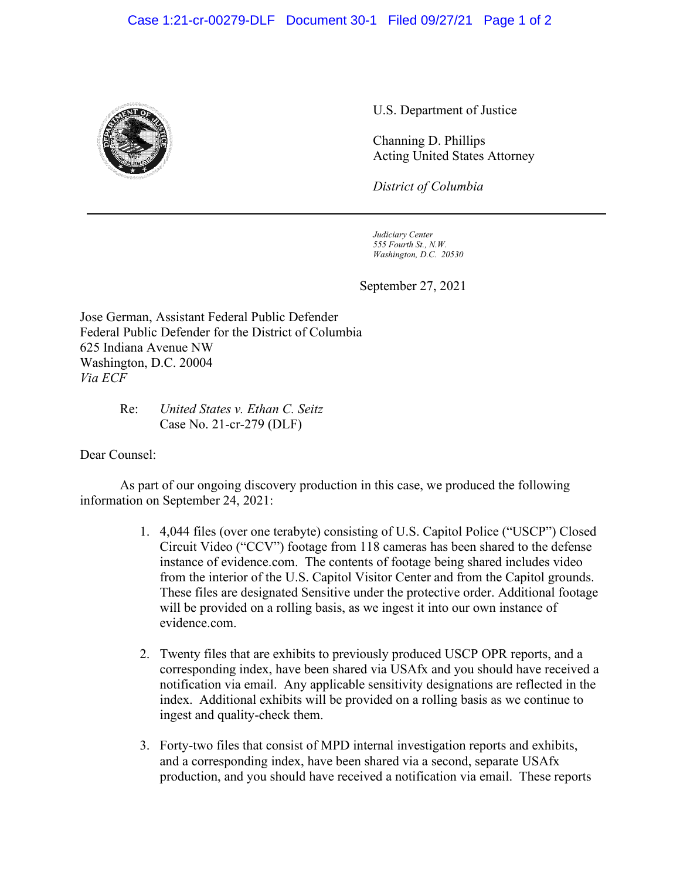

U.S. Department of Justice

Channing D. Phillips Acting United States Attorney

*District of Columbia*

*Judiciary Center 555 Fourth St., N.W. Washington, D.C. 20530*

September 27, 2021

Jose German, Assistant Federal Public Defender Federal Public Defender for the District of Columbia 625 Indiana Avenue NW Washington, D.C. 20004 *Via ECF*

## Re: *United States v. Ethan C. Seitz* Case No. 21-cr-279 (DLF)

Dear Counsel:

As part of our ongoing discovery production in this case, we produced the following information on September 24, 2021:

- 1. 4,044 files (over one terabyte) consisting of U.S. Capitol Police ("USCP") Closed Circuit Video ("CCV") footage from 118 cameras has been shared to the defense instance of evidence.com. The contents of footage being shared includes video from the interior of the U.S. Capitol Visitor Center and from the Capitol grounds. These files are designated Sensitive under the protective order. Additional footage will be provided on a rolling basis, as we ingest it into our own instance of evidence.com.
- 2. Twenty files that are exhibits to previously produced USCP OPR reports, and a corresponding index, have been shared via USAfx and you should have received a notification via email. Any applicable sensitivity designations are reflected in the index. Additional exhibits will be provided on a rolling basis as we continue to ingest and quality-check them.
- 3. Forty-two files that consist of MPD internal investigation reports and exhibits, and a corresponding index, have been shared via a second, separate USAfx production, and you should have received a notification via email. These reports